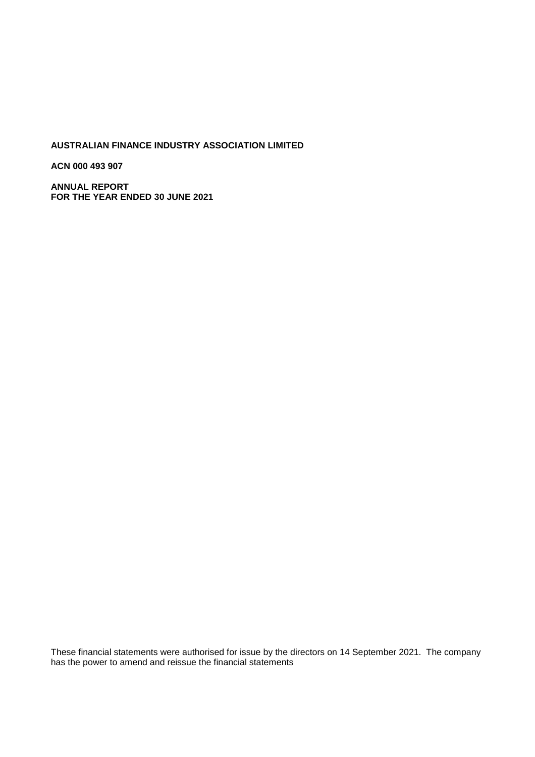# **AUSTRALIAN FINANCE INDUSTRY ASSOCIATION LIMITED**

**ACN 000 493 907** 

**ANNUAL REPORT FOR THE YEAR ENDED 30 JUNE 2021** 

These financial statements were authorised for issue by the directors on 14 September 2021. The company has the power to amend and reissue the financial statements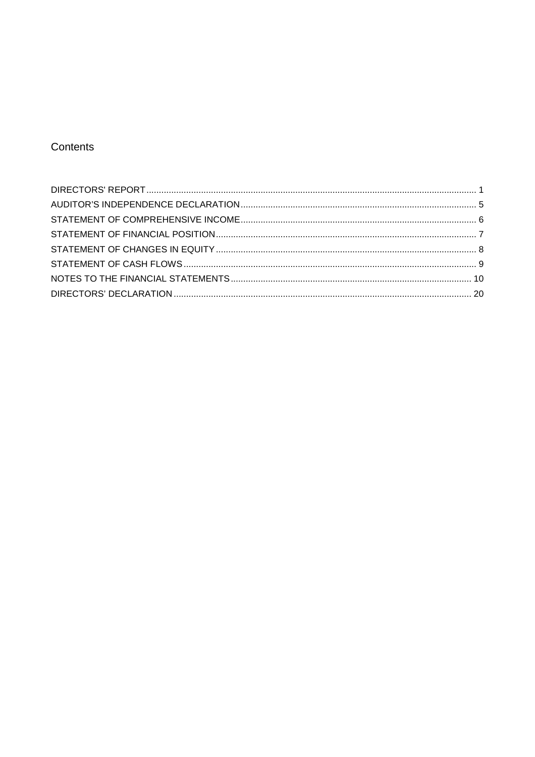# Contents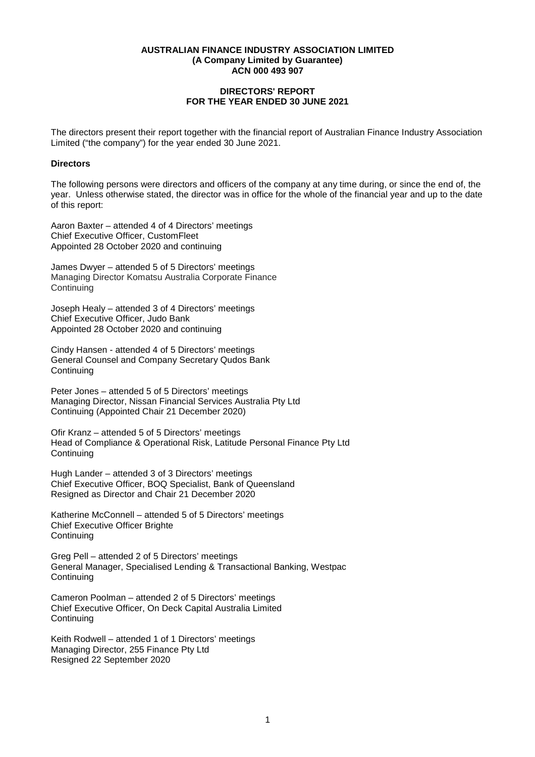### **DIRECTORS' REPORT FOR THE YEAR ENDED 30 JUNE 2021**

The directors present their report together with the financial report of Australian Finance Industry Association Limited ("the company") for the year ended 30 June 2021.

#### **Directors**

The following persons were directors and officers of the company at any time during, or since the end of, the year. Unless otherwise stated, the director was in office for the whole of the financial year and up to the date of this report:

Aaron Baxter – attended 4 of 4 Directors' meetings Chief Executive Officer, CustomFleet Appointed 28 October 2020 and continuing

James Dwyer – attended 5 of 5 Directors' meetings Managing Director Komatsu Australia Corporate Finance **Continuing** 

Joseph Healy – attended 3 of 4 Directors' meetings Chief Executive Officer, Judo Bank Appointed 28 October 2020 and continuing

Cindy Hansen - attended 4 of 5 Directors' meetings General Counsel and Company Secretary Qudos Bank **Continuing** 

Peter Jones – attended 5 of 5 Directors' meetings Managing Director, Nissan Financial Services Australia Pty Ltd Continuing (Appointed Chair 21 December 2020)

Ofir Kranz – attended 5 of 5 Directors' meetings Head of Compliance & Operational Risk, Latitude Personal Finance Pty Ltd **Continuing** 

Hugh Lander – attended 3 of 3 Directors' meetings Chief Executive Officer, BOQ Specialist, Bank of Queensland Resigned as Director and Chair 21 December 2020

Katherine McConnell – attended 5 of 5 Directors' meetings Chief Executive Officer Brighte **Continuing** 

Greg Pell – attended 2 of 5 Directors' meetings General Manager, Specialised Lending & Transactional Banking, Westpac **Continuing** 

Cameron Poolman – attended 2 of 5 Directors' meetings Chief Executive Officer, On Deck Capital Australia Limited **Continuing** 

Keith Rodwell – attended 1 of 1 Directors' meetings Managing Director, 255 Finance Pty Ltd Resigned 22 September 2020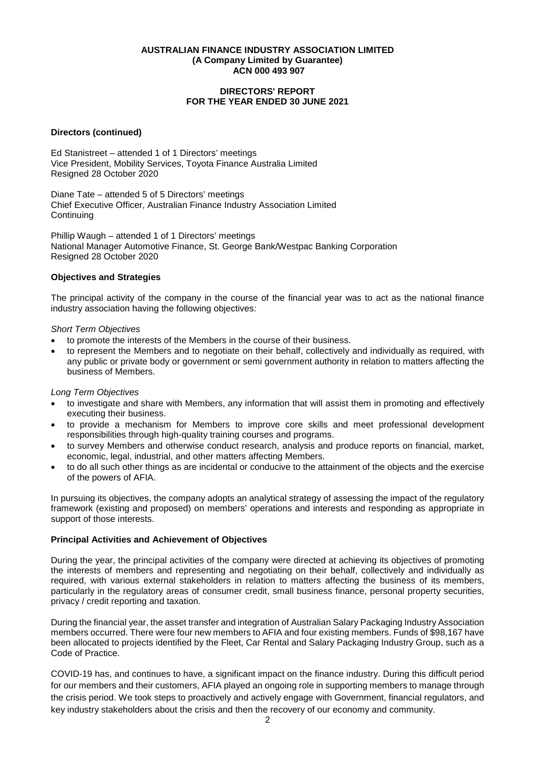### **DIRECTORS' REPORT FOR THE YEAR ENDED 30 JUNE 2021**

### **Directors (continued)**

Ed Stanistreet – attended 1 of 1 Directors' meetings Vice President, Mobility Services, Toyota Finance Australia Limited Resigned 28 October 2020

Diane Tate – attended 5 of 5 Directors' meetings Chief Executive Officer, Australian Finance Industry Association Limited **Continuing** 

Phillip Waugh – attended 1 of 1 Directors' meetings National Manager Automotive Finance, St. George Bank/Westpac Banking Corporation Resigned 28 October 2020

### **Objectives and Strategies**

The principal activity of the company in the course of the financial year was to act as the national finance industry association having the following objectives:

### *Short Term Objectives*

- to promote the interests of the Members in the course of their business.
- to represent the Members and to negotiate on their behalf, collectively and individually as required, with any public or private body or government or semi government authority in relation to matters affecting the business of Members.

### *Long Term Objectives*

- to investigate and share with Members, any information that will assist them in promoting and effectively executing their business.
- to provide a mechanism for Members to improve core skills and meet professional development responsibilities through high-quality training courses and programs.
- to survey Members and otherwise conduct research, analysis and produce reports on financial, market, economic, legal, industrial, and other matters affecting Members.
- to do all such other things as are incidental or conducive to the attainment of the objects and the exercise of the powers of AFIA.

In pursuing its objectives, the company adopts an analytical strategy of assessing the impact of the regulatory framework (existing and proposed) on members' operations and interests and responding as appropriate in support of those interests.

# **Principal Activities and Achievement of Objectives**

During the year, the principal activities of the company were directed at achieving its objectives of promoting the interests of members and representing and negotiating on their behalf, collectively and individually as required, with various external stakeholders in relation to matters affecting the business of its members, particularly in the regulatory areas of consumer credit, small business finance, personal property securities, privacy / credit reporting and taxation.

During the financial year, the asset transfer and integration of Australian Salary Packaging Industry Association members occurred. There were four new members to AFIA and four existing members. Funds of \$98,167 have been allocated to projects identified by the Fleet, Car Rental and Salary Packaging Industry Group, such as a Code of Practice.

COVID-19 has, and continues to have, a significant impact on the finance industry. During this difficult period for our members and their customers, AFIA played an ongoing role in supporting members to manage through the crisis period. We took steps to proactively and actively engage with Government, financial regulators, and key industry stakeholders about the crisis and then the recovery of our economy and community.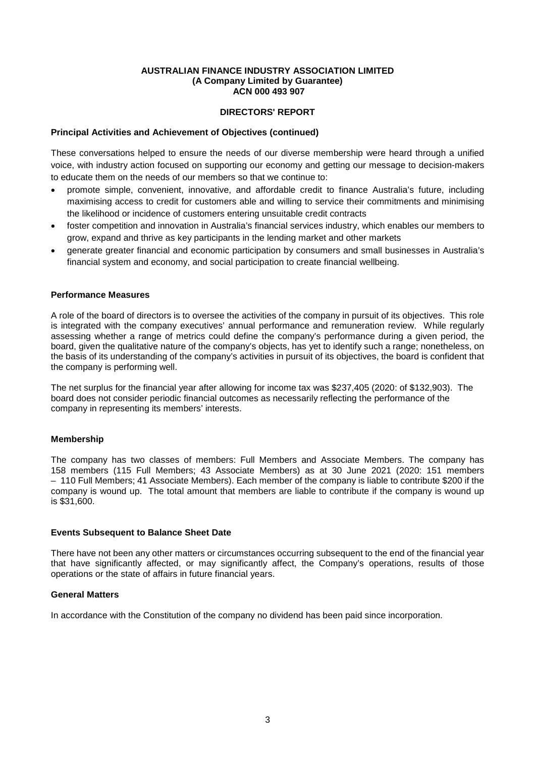# **DIRECTORS' REPORT**

### **Principal Activities and Achievement of Objectives (continued)**

These conversations helped to ensure the needs of our diverse membership were heard through a unified voice, with industry action focused on supporting our economy and getting our message to decision-makers to educate them on the needs of our members so that we continue to:

- promote simple, convenient, innovative, and affordable credit to finance Australia's future, including maximising access to credit for customers able and willing to service their commitments and minimising the likelihood or incidence of customers entering unsuitable credit contracts
- foster competition and innovation in Australia's financial services industry, which enables our members to grow, expand and thrive as key participants in the lending market and other markets
- generate greater financial and economic participation by consumers and small businesses in Australia's financial system and economy, and social participation to create financial wellbeing.

### **Performance Measures**

A role of the board of directors is to oversee the activities of the company in pursuit of its objectives. This role is integrated with the company executives' annual performance and remuneration review. While regularly assessing whether a range of metrics could define the company's performance during a given period, the board, given the qualitative nature of the company's objects, has yet to identify such a range; nonetheless, on the basis of its understanding of the company's activities in pursuit of its objectives, the board is confident that the company is performing well.

The net surplus for the financial year after allowing for income tax was \$237,405 (2020: of \$132,903). The board does not consider periodic financial outcomes as necessarily reflecting the performance of the company in representing its members' interests.

### **Membership**

The company has two classes of members: Full Members and Associate Members. The company has 158 members (115 Full Members; 43 Associate Members) as at 30 June 2021 (2020: 151 members – 110 Full Members; 41 Associate Members). Each member of the company is liable to contribute \$200 if the company is wound up. The total amount that members are liable to contribute if the company is wound up is \$31,600.

### **Events Subsequent to Balance Sheet Date**

There have not been any other matters or circumstances occurring subsequent to the end of the financial year that have significantly affected, or may significantly affect, the Company's operations, results of those operations or the state of affairs in future financial years.

### **General Matters**

In accordance with the Constitution of the company no dividend has been paid since incorporation.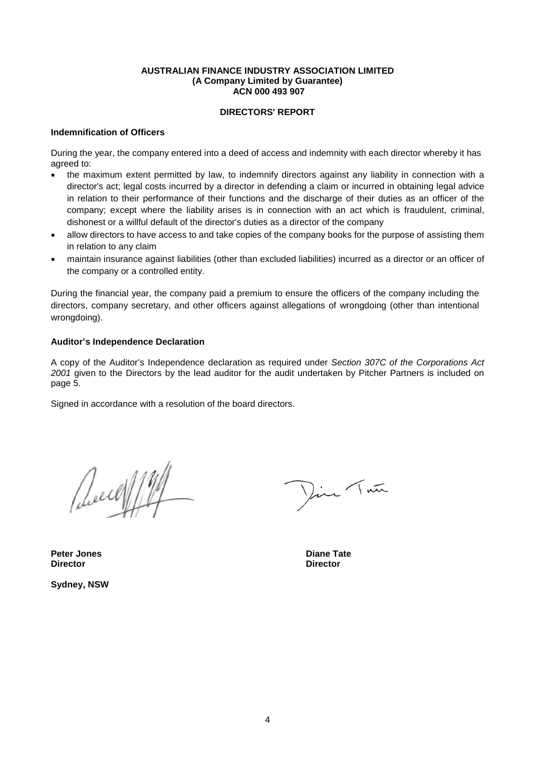# **DIRECTORS' REPORT**

# **Indemnification of Officers**

During the year, the company entered into a deed of access and indemnity with each director whereby it has agreed to:

- the maximum extent permitted by law, to indemnify directors against any liability in connection with a director's act; legal costs incurred by a director in defending a claim or incurred in obtaining legal advice in relation to their performance of their functions and the discharge of their duties as an officer of the company; except where the liability arises is in connection with an act which is fraudulent, criminal, dishonest or a willful default of the director's duties as a director of the company
- allow directors to have access to and take copies of the company books for the purpose of assisting them in relation to any claim
- maintain insurance against liabilities (other than excluded liabilities) incurred as a director or an officer of the company or a controlled entity.

During the financial year, the company paid a premium to ensure the officers of the company including the directors, company secretary, and other officers against allegations of wrongdoing (other than intentional wrongdoing).

### **Auditor's Independence Declaration**

A copy of the Auditor's Independence declaration as required under *Section 307C of the Corporations Act 2001* given to the Directors by the lead auditor for the audit undertaken by Pitcher Partners is included on page 5.

Signed in accordance with a resolution of the board directors.

Juell

Peter Jones **Diane Tate Accord Peter Jones Peter Accord Pate Accord Peter Accord Peter Accord Peter Accord Peter**<br>
Director **Director Director** 

**Sydney, NSW** 

Dine Tan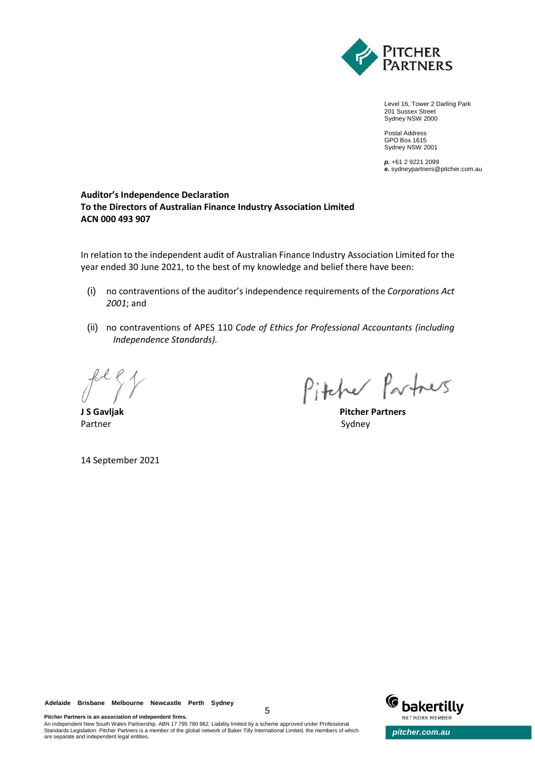

Level 16, Tower 2 Darling Park 201 Sussex Street Sydney NSW 2000

Postal Address GPO Box 1615 Sydney NSW 2001

*p.* +61 2 9221 2099 *e.* sydneypartners@pitcher.com.au

# **Auditor's Independence Declaration To the Directors of Australian Finance Industry Association Limited ACN 000 493 907**

In relation to the independent audit of Australian Finance Industry Association Limited for the year ended 30 June 2021, to the best of my knowledge and belief there have been:

- (i) no contraventions of the auditor's independence requirements of the *Corporations Act 2001*; and
- (ii) no contraventions of APES 110 *Code of Ethics for Professional Accountants (including Independence Standards).*

fol g j

Partner Sydney and Sydney Sydney Sydney Sydney Sydney Sydney Sydney Sydney Sydney Sydney Sydney Sydney Sydney

14 September 2021

Pitcher Partners

**J S Gavljak Pitcher Partners** 

**Adelaide Brisbane Melbourne Newcastle Perth Sydney** 

5



An independent New South Wales Partnership. ABN 17 795 780 962. Liability limited by a scheme approved under Professional<br>Standards Legislation. Pitcher Partners is a member of the global network of Baker Tilly Internation

**Pitcher Partners is an association of independent firms.**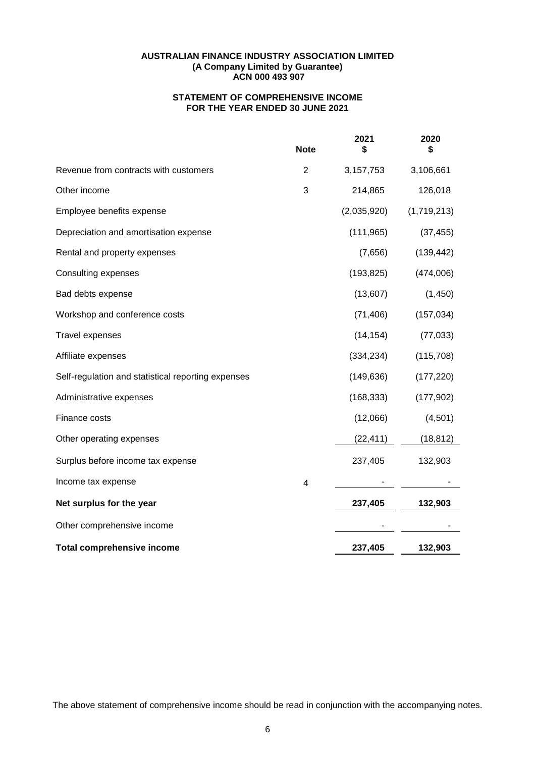# **STATEMENT OF COMPREHENSIVE INCOME FOR THE YEAR ENDED 30 JUNE 2021**

|                                                    | <b>Note</b>    | 2021<br>\$  | 2020<br>S   |
|----------------------------------------------------|----------------|-------------|-------------|
| Revenue from contracts with customers              | $\overline{2}$ | 3,157,753   | 3,106,661   |
| Other income                                       | 3              | 214,865     | 126,018     |
| Employee benefits expense                          |                | (2,035,920) | (1,719,213) |
| Depreciation and amortisation expense              |                | (111, 965)  | (37, 455)   |
| Rental and property expenses                       |                | (7,656)     | (139, 442)  |
| <b>Consulting expenses</b>                         |                | (193, 825)  | (474,006)   |
| Bad debts expense                                  |                | (13,607)    | (1,450)     |
| Workshop and conference costs                      |                | (71, 406)   | (157, 034)  |
| <b>Travel expenses</b>                             |                | (14, 154)   | (77, 033)   |
| Affiliate expenses                                 |                | (334, 234)  | (115,708)   |
| Self-regulation and statistical reporting expenses |                | (149, 636)  | (177, 220)  |
| Administrative expenses                            |                | (168, 333)  | (177, 902)  |
| Finance costs                                      |                | (12,066)    | (4,501)     |
| Other operating expenses                           |                | (22, 411)   | (18, 812)   |
| Surplus before income tax expense                  |                | 237,405     | 132,903     |
| Income tax expense                                 | 4              |             |             |
| Net surplus for the year                           |                | 237,405     | 132,903     |
| Other comprehensive income                         |                |             |             |
| <b>Total comprehensive income</b>                  |                | 237,405     | 132,903     |

The above statement of comprehensive income should be read in conjunction with the accompanying notes.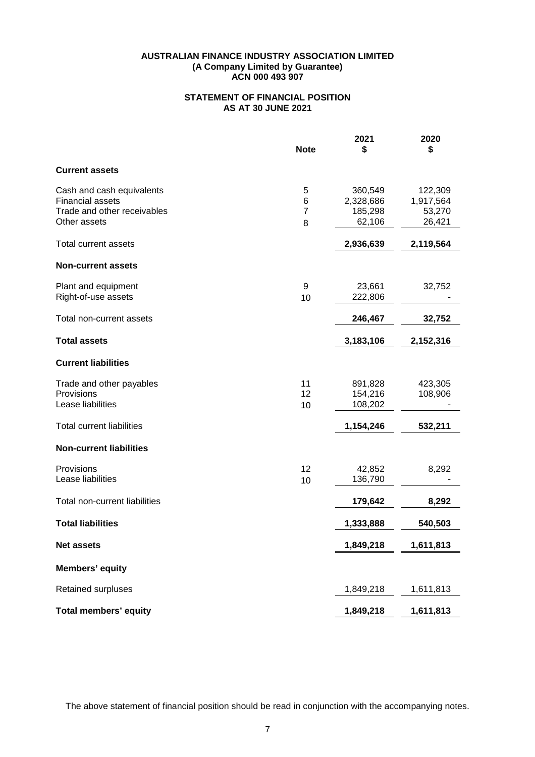# **STATEMENT OF FINANCIAL POSITION AS AT 30 JUNE 2021**

|                                                                                                     | <b>Note</b>                   | 2021<br>\$                                | 2020<br>\$                               |
|-----------------------------------------------------------------------------------------------------|-------------------------------|-------------------------------------------|------------------------------------------|
| <b>Current assets</b>                                                                               |                               |                                           |                                          |
| Cash and cash equivalents<br><b>Financial assets</b><br>Trade and other receivables<br>Other assets | 5<br>6<br>$\overline{7}$<br>8 | 360,549<br>2,328,686<br>185,298<br>62,106 | 122,309<br>1,917,564<br>53,270<br>26,421 |
| <b>Total current assets</b>                                                                         |                               | 2,936,639                                 | 2,119,564                                |
| <b>Non-current assets</b>                                                                           |                               |                                           |                                          |
| Plant and equipment<br>Right-of-use assets                                                          | 9<br>10                       | 23,661<br>222,806                         | 32,752                                   |
| Total non-current assets                                                                            |                               | 246,467                                   | 32,752                                   |
| <b>Total assets</b>                                                                                 |                               | 3,183,106                                 | 2,152,316                                |
| <b>Current liabilities</b>                                                                          |                               |                                           |                                          |
| Trade and other payables<br>Provisions<br>Lease liabilities                                         | 11<br>12<br>10                | 891,828<br>154,216<br>108,202             | 423,305<br>108,906                       |
| <b>Total current liabilities</b>                                                                    |                               | 1,154,246                                 | 532,211                                  |
| <b>Non-current liabilities</b>                                                                      |                               |                                           |                                          |
| Provisions<br>Lease liabilities                                                                     | 12<br>10                      | 42,852<br>136,790                         | 8,292                                    |
| Total non-current liabilities                                                                       |                               | 179,642                                   | 8,292                                    |
| <b>Total liabilities</b>                                                                            |                               | 1,333,888                                 | 540,503                                  |
| <b>Net assets</b>                                                                                   |                               | 1,849,218                                 | 1,611,813                                |
| Members' equity                                                                                     |                               |                                           |                                          |
| Retained surpluses                                                                                  |                               | 1,849,218                                 | 1,611,813                                |
| <b>Total members' equity</b>                                                                        |                               | 1,849,218                                 | 1,611,813                                |

The above statement of financial position should be read in conjunction with the accompanying notes.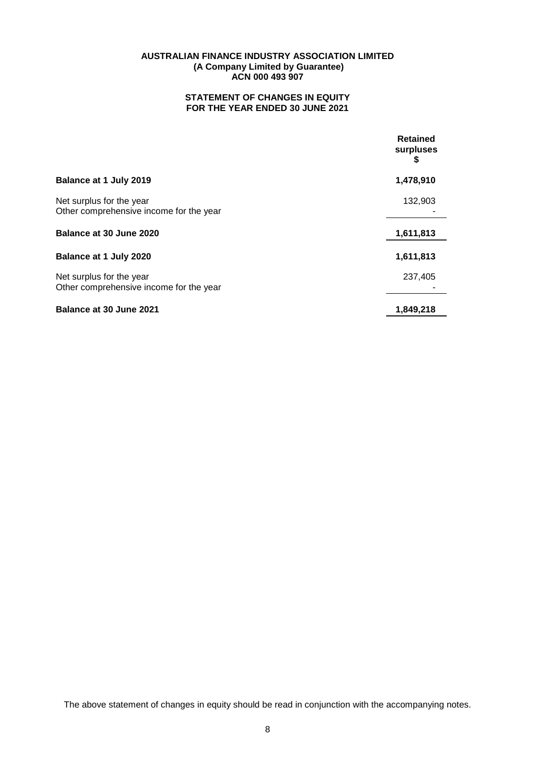# **STATEMENT OF CHANGES IN EQUITY FOR THE YEAR ENDED 30 JUNE 2021**

|                                                                     | <b>Retained</b><br>surpluses<br>S |
|---------------------------------------------------------------------|-----------------------------------|
| Balance at 1 July 2019                                              | 1,478,910                         |
| Net surplus for the year<br>Other comprehensive income for the year | 132,903                           |
| Balance at 30 June 2020                                             | 1,611,813                         |
| Balance at 1 July 2020                                              | 1,611,813                         |
| Net surplus for the year<br>Other comprehensive income for the year | 237,405                           |
| <b>Balance at 30 June 2021</b>                                      | 1,849,218                         |

The above statement of changes in equity should be read in conjunction with the accompanying notes.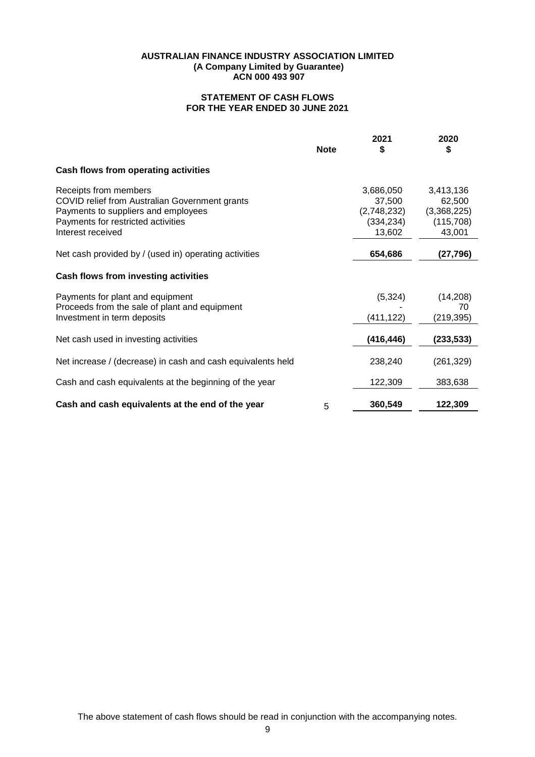# **STATEMENT OF CASH FLOWS FOR THE YEAR ENDED 30 JUNE 2021**

|                                                                                                                                                                           | <b>Note</b> | 2021<br>\$                                                 | 2020<br>\$                                                |
|---------------------------------------------------------------------------------------------------------------------------------------------------------------------------|-------------|------------------------------------------------------------|-----------------------------------------------------------|
| Cash flows from operating activities                                                                                                                                      |             |                                                            |                                                           |
| Receipts from members<br>COVID relief from Australian Government grants<br>Payments to suppliers and employees<br>Payments for restricted activities<br>Interest received |             | 3,686,050<br>37,500<br>(2,748,232)<br>(334, 234)<br>13,602 | 3,413,136<br>62,500<br>(3,368,225)<br>(115,708)<br>43,001 |
| Net cash provided by / (used in) operating activities                                                                                                                     |             | 654,686                                                    | (27,796)                                                  |
| Cash flows from investing activities                                                                                                                                      |             |                                                            |                                                           |
| Payments for plant and equipment<br>Proceeds from the sale of plant and equipment<br>Investment in term deposits                                                          |             | (5, 324)<br>(411, 122)                                     | (14,208)<br>70<br>(219, 395)                              |
| Net cash used in investing activities                                                                                                                                     |             | (416, 446)                                                 | (233, 533)                                                |
| Net increase / (decrease) in cash and cash equivalents held                                                                                                               |             | 238,240                                                    | (261, 329)                                                |
| Cash and cash equivalents at the beginning of the year                                                                                                                    |             | 122,309                                                    | 383,638                                                   |
| Cash and cash equivalents at the end of the year                                                                                                                          | 5           | 360,549                                                    | 122,309                                                   |

The above statement of cash flows should be read in conjunction with the accompanying notes.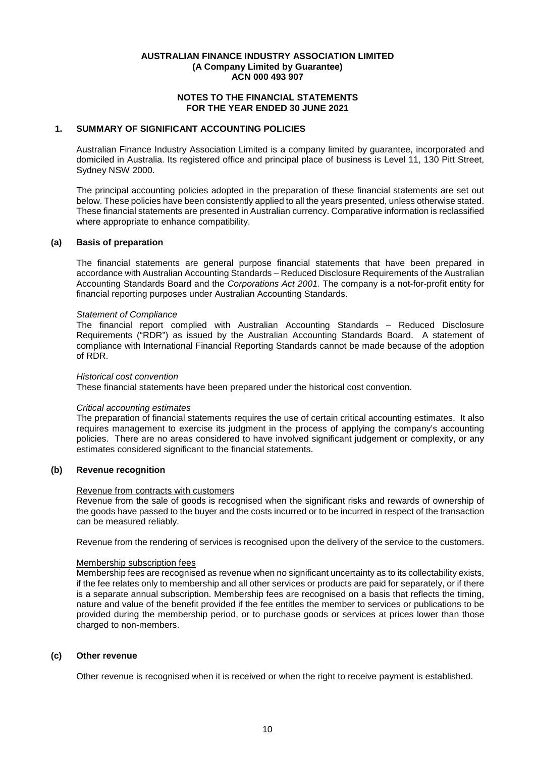### **NOTES TO THE FINANCIAL STATEMENTS FOR THE YEAR ENDED 30 JUNE 2021**

### **1. SUMMARY OF SIGNIFICANT ACCOUNTING POLICIES**

Australian Finance Industry Association Limited is a company limited by guarantee, incorporated and domiciled in Australia. Its registered office and principal place of business is Level 11, 130 Pitt Street, Sydney NSW 2000.

The principal accounting policies adopted in the preparation of these financial statements are set out below. These policies have been consistently applied to all the years presented, unless otherwise stated. These financial statements are presented in Australian currency. Comparative information is reclassified where appropriate to enhance compatibility.

### **(a) Basis of preparation**

The financial statements are general purpose financial statements that have been prepared in accordance with Australian Accounting Standards – Reduced Disclosure Requirements of the Australian Accounting Standards Board and the *Corporations Act 2001.* The company is a not-for-profit entity for financial reporting purposes under Australian Accounting Standards.

### *Statement of Compliance*

The financial report complied with Australian Accounting Standards – Reduced Disclosure Requirements ("RDR") as issued by the Australian Accounting Standards Board. A statement of compliance with International Financial Reporting Standards cannot be made because of the adoption of RDR.

#### *Historical cost convention*

These financial statements have been prepared under the historical cost convention.

### *Critical accounting estimates*

The preparation of financial statements requires the use of certain critical accounting estimates. It also requires management to exercise its judgment in the process of applying the company's accounting policies. There are no areas considered to have involved significant judgement or complexity, or any estimates considered significant to the financial statements.

### **(b) Revenue recognition**

### Revenue from contracts with customers

Revenue from the sale of goods is recognised when the significant risks and rewards of ownership of the goods have passed to the buyer and the costs incurred or to be incurred in respect of the transaction can be measured reliably.

Revenue from the rendering of services is recognised upon the delivery of the service to the customers.

#### Membership subscription fees

Membership fees are recognised as revenue when no significant uncertainty as to its collectability exists, if the fee relates only to membership and all other services or products are paid for separately, or if there is a separate annual subscription. Membership fees are recognised on a basis that reflects the timing, nature and value of the benefit provided if the fee entitles the member to services or publications to be provided during the membership period, or to purchase goods or services at prices lower than those charged to non-members.

### **(c) Other revenue**

Other revenue is recognised when it is received or when the right to receive payment is established.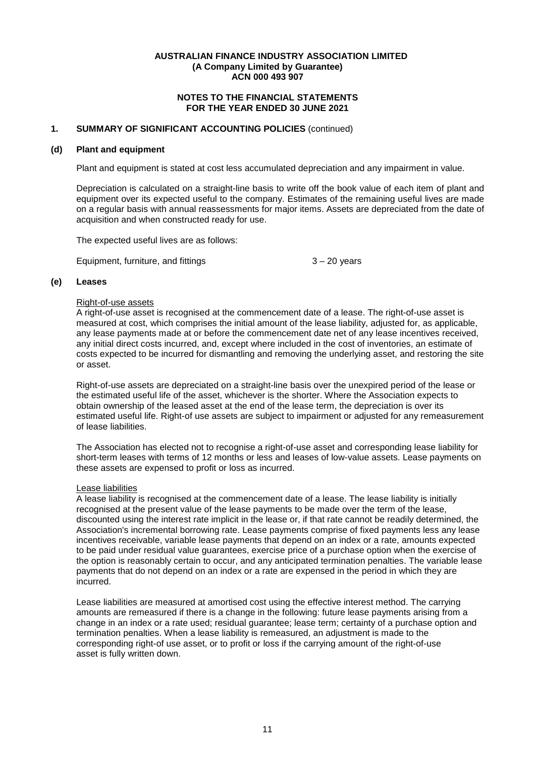### **NOTES TO THE FINANCIAL STATEMENTS FOR THE YEAR ENDED 30 JUNE 2021**

### **1. SUMMARY OF SIGNIFICANT ACCOUNTING POLICIES** (continued)

#### **(d) Plant and equipment**

Plant and equipment is stated at cost less accumulated depreciation and any impairment in value.

Depreciation is calculated on a straight-line basis to write off the book value of each item of plant and equipment over its expected useful to the company. Estimates of the remaining useful lives are made on a regular basis with annual reassessments for major items. Assets are depreciated from the date of acquisition and when constructed ready for use.

The expected useful lives are as follows:

Equipment, furniture, and fittings  $3 - 20$  years

#### **(e) Leases**

### Right-of-use assets

A right-of-use asset is recognised at the commencement date of a lease. The right-of-use asset is measured at cost, which comprises the initial amount of the lease liability, adjusted for, as applicable, any lease payments made at or before the commencement date net of any lease incentives received, any initial direct costs incurred, and, except where included in the cost of inventories, an estimate of costs expected to be incurred for dismantling and removing the underlying asset, and restoring the site or asset.

Right-of-use assets are depreciated on a straight-line basis over the unexpired period of the lease or the estimated useful life of the asset, whichever is the shorter. Where the Association expects to obtain ownership of the leased asset at the end of the lease term, the depreciation is over its estimated useful life. Right-of use assets are subject to impairment or adjusted for any remeasurement of lease liabilities.

The Association has elected not to recognise a right-of-use asset and corresponding lease liability for short-term leases with terms of 12 months or less and leases of low-value assets. Lease payments on these assets are expensed to profit or loss as incurred.

### Lease liabilities

A lease liability is recognised at the commencement date of a lease. The lease liability is initially recognised at the present value of the lease payments to be made over the term of the lease, discounted using the interest rate implicit in the lease or, if that rate cannot be readily determined, the Association's incremental borrowing rate. Lease payments comprise of fixed payments less any lease incentives receivable, variable lease payments that depend on an index or a rate, amounts expected to be paid under residual value guarantees, exercise price of a purchase option when the exercise of the option is reasonably certain to occur, and any anticipated termination penalties. The variable lease payments that do not depend on an index or a rate are expensed in the period in which they are incurred.

Lease liabilities are measured at amortised cost using the effective interest method. The carrying amounts are remeasured if there is a change in the following: future lease payments arising from a change in an index or a rate used; residual guarantee; lease term; certainty of a purchase option and termination penalties. When a lease liability is remeasured, an adjustment is made to the corresponding right-of use asset, or to profit or loss if the carrying amount of the right-of-use asset is fully written down.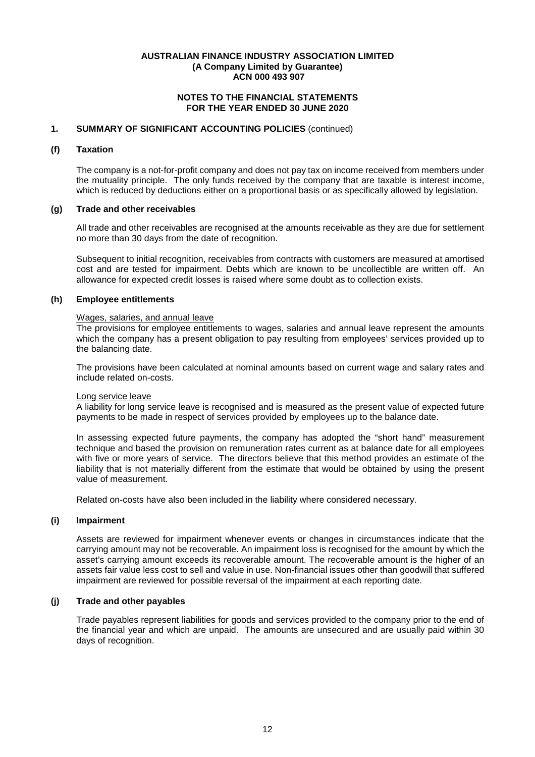### **NOTES TO THE FINANCIAL STATEMENTS FOR THE YEAR ENDED 30 JUNE 2020**

### **1. SUMMARY OF SIGNIFICANT ACCOUNTING POLICIES** (continued)

### **(f) Taxation**

The company is a not-for-profit company and does not pay tax on income received from members under the mutuality principle. The only funds received by the company that are taxable is interest income, which is reduced by deductions either on a proportional basis or as specifically allowed by legislation.

### **(g) Trade and other receivables**

All trade and other receivables are recognised at the amounts receivable as they are due for settlement no more than 30 days from the date of recognition.

Subsequent to initial recognition, receivables from contracts with customers are measured at amortised cost and are tested for impairment. Debts which are known to be uncollectible are written off. An allowance for expected credit losses is raised where some doubt as to collection exists.

### **(h) Employee entitlements**

### Wages, salaries, and annual leave

The provisions for employee entitlements to wages, salaries and annual leave represent the amounts which the company has a present obligation to pay resulting from employees' services provided up to the balancing date.

The provisions have been calculated at nominal amounts based on current wage and salary rates and include related on-costs.

### Long service leave

A liability for long service leave is recognised and is measured as the present value of expected future payments to be made in respect of services provided by employees up to the balance date.

In assessing expected future payments, the company has adopted the "short hand" measurement technique and based the provision on remuneration rates current as at balance date for all employees with five or more years of service. The directors believe that this method provides an estimate of the liability that is not materially different from the estimate that would be obtained by using the present value of measurement.

Related on-costs have also been included in the liability where considered necessary.

### **(i) Impairment**

Assets are reviewed for impairment whenever events or changes in circumstances indicate that the carrying amount may not be recoverable. An impairment loss is recognised for the amount by which the asset's carrying amount exceeds its recoverable amount. The recoverable amount is the higher of an assets fair value less cost to sell and value in use. Non-financial issues other than goodwill that suffered impairment are reviewed for possible reversal of the impairment at each reporting date.

# **(j) Trade and other payables**

Trade payables represent liabilities for goods and services provided to the company prior to the end of the financial year and which are unpaid. The amounts are unsecured and are usually paid within 30 days of recognition.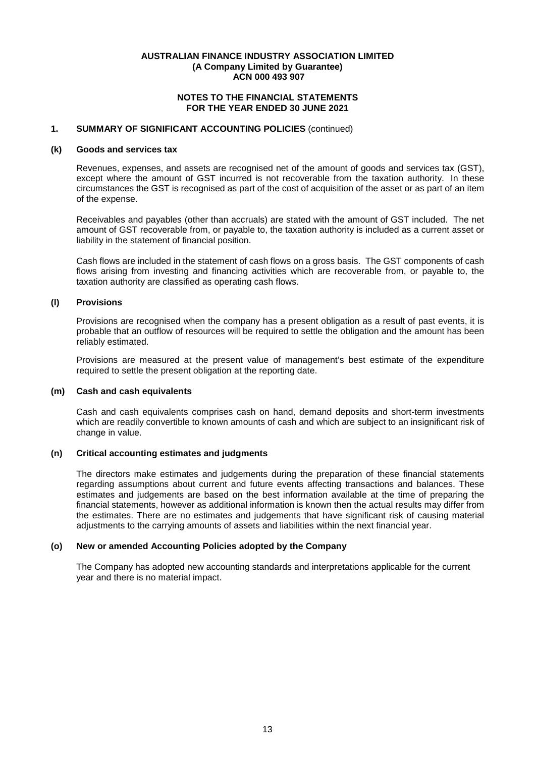### **NOTES TO THE FINANCIAL STATEMENTS FOR THE YEAR ENDED 30 JUNE 2021**

### **1. SUMMARY OF SIGNIFICANT ACCOUNTING POLICIES** (continued)

### **(k) Goods and services tax**

Revenues, expenses, and assets are recognised net of the amount of goods and services tax (GST), except where the amount of GST incurred is not recoverable from the taxation authority. In these circumstances the GST is recognised as part of the cost of acquisition of the asset or as part of an item of the expense.

Receivables and payables (other than accruals) are stated with the amount of GST included. The net amount of GST recoverable from, or payable to, the taxation authority is included as a current asset or liability in the statement of financial position.

Cash flows are included in the statement of cash flows on a gross basis. The GST components of cash flows arising from investing and financing activities which are recoverable from, or payable to, the taxation authority are classified as operating cash flows.

# **(l) Provisions**

Provisions are recognised when the company has a present obligation as a result of past events, it is probable that an outflow of resources will be required to settle the obligation and the amount has been reliably estimated.

Provisions are measured at the present value of management's best estimate of the expenditure required to settle the present obligation at the reporting date.

### **(m) Cash and cash equivalents**

Cash and cash equivalents comprises cash on hand, demand deposits and short-term investments which are readily convertible to known amounts of cash and which are subject to an insignificant risk of change in value.

# **(n) Critical accounting estimates and judgments**

The directors make estimates and judgements during the preparation of these financial statements regarding assumptions about current and future events affecting transactions and balances. These estimates and judgements are based on the best information available at the time of preparing the financial statements, however as additional information is known then the actual results may differ from the estimates. There are no estimates and judgements that have significant risk of causing material adjustments to the carrying amounts of assets and liabilities within the next financial year.

# **(o) New or amended Accounting Policies adopted by the Company**

The Company has adopted new accounting standards and interpretations applicable for the current year and there is no material impact.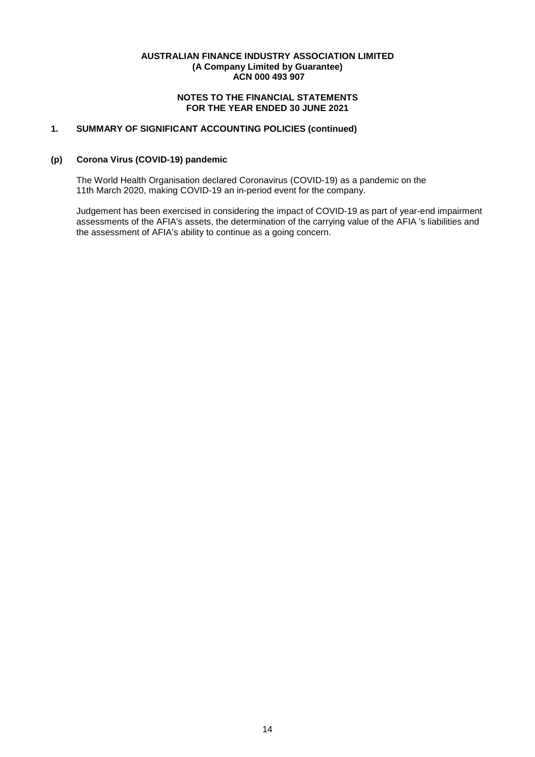# **NOTES TO THE FINANCIAL STATEMENTS FOR THE YEAR ENDED 30 JUNE 2021**

# **1. SUMMARY OF SIGNIFICANT ACCOUNTING POLICIES (continued)**

# **(p) Corona Virus (COVID-19) pandemic**

The World Health Organisation declared Coronavirus (COVID-19) as a pandemic on the 11th March 2020, making COVID-19 an in-period event for the company.

Judgement has been exercised in considering the impact of COVID-19 as part of year-end impairment assessments of the AFIA's assets, the determination of the carrying value of the AFIA 's liabilities and the assessment of AFIA's ability to continue as a going concern.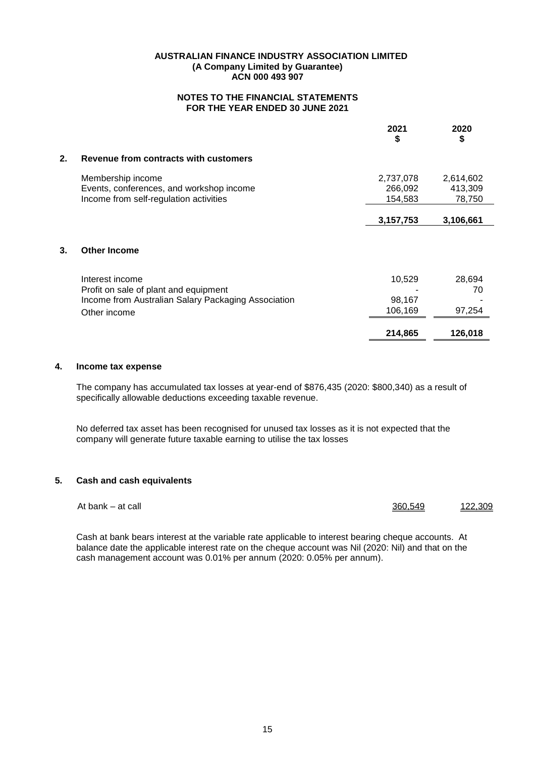# **NOTES TO THE FINANCIAL STATEMENTS FOR THE YEAR ENDED 30 JUNE 2021**

|    |                                                                                                                                 | 2021<br>\$                      | 2020<br>\$                     |
|----|---------------------------------------------------------------------------------------------------------------------------------|---------------------------------|--------------------------------|
| 2. | Revenue from contracts with customers                                                                                           |                                 |                                |
|    | Membership income<br>Events, conferences, and workshop income<br>Income from self-regulation activities                         | 2,737,078<br>266,092<br>154,583 | 2,614,602<br>413,309<br>78,750 |
|    |                                                                                                                                 | 3, 157, 753                     | 3,106,661                      |
| 3. | <b>Other Income</b>                                                                                                             |                                 |                                |
|    | Interest income<br>Profit on sale of plant and equipment<br>Income from Australian Salary Packaging Association<br>Other income | 10,529<br>98,167<br>106,169     | 28,694<br>70<br>97,254         |
|    |                                                                                                                                 | 214,865                         | 126,018                        |

### **4. Income tax expense**

The company has accumulated tax losses at year-end of \$876,435 (2020: \$800,340) as a result of specifically allowable deductions exceeding taxable revenue.

No deferred tax asset has been recognised for unused tax losses as it is not expected that the company will generate future taxable earning to utilise the tax losses

# **5. Cash and cash equivalents**

| At bank $-$ at call | 360.549 | 122,309 |
|---------------------|---------|---------|
|                     |         |         |

Cash at bank bears interest at the variable rate applicable to interest bearing cheque accounts. At balance date the applicable interest rate on the cheque account was Nil (2020: Nil) and that on the cash management account was 0.01% per annum (2020: 0.05% per annum).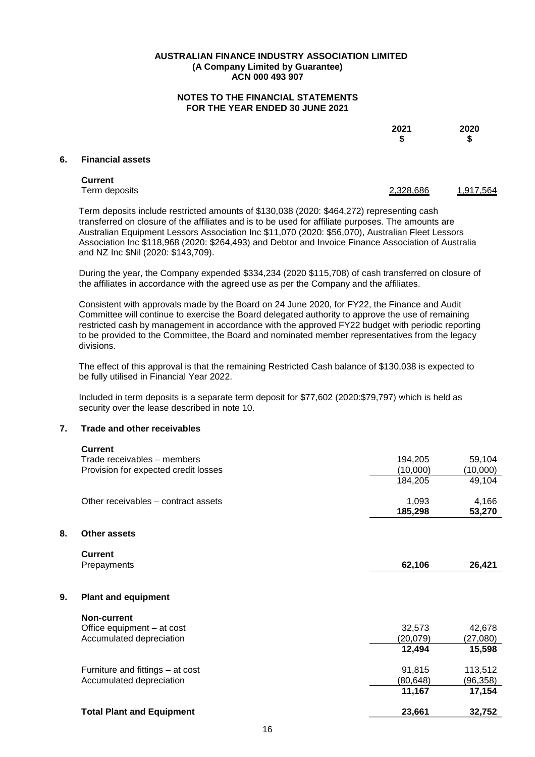### **NOTES TO THE FINANCIAL STATEMENTS FOR THE YEAR ENDED 30 JUNE 2021**

|    |                                                                                                                                                                                                 | 2021<br>S | 2020<br>\$ |
|----|-------------------------------------------------------------------------------------------------------------------------------------------------------------------------------------------------|-----------|------------|
| 6. | <b>Financial assets</b>                                                                                                                                                                         |           |            |
|    | Current                                                                                                                                                                                         |           |            |
|    | Term deposits                                                                                                                                                                                   | 2,328,686 | 1,917,564  |
|    | Term deposits include restricted amounts of \$130,038 (2020: \$464,272) representing cash<br>transferred on closure of the affiliates and is to be used for affiliate purposes. The amounts are |           |            |

transferred on closure of the affiliates and is to be used for affiliate purposes. The amounts are Australian Equipment Lessors Association Inc \$11,070 (2020: \$56,070), Australian Fleet Lessors Association Inc \$118,968 (2020: \$264,493) and Debtor and Invoice Finance Association of Australia and NZ Inc \$Nil (2020: \$143,709).

During the year, the Company expended \$334,234 (2020 \$115,708) of cash transferred on closure of the affiliates in accordance with the agreed use as per the Company and the affiliates.

Consistent with approvals made by the Board on 24 June 2020, for FY22, the Finance and Audit Committee will continue to exercise the Board delegated authority to approve the use of remaining restricted cash by management in accordance with the approved FY22 budget with periodic reporting to be provided to the Committee, the Board and nominated member representatives from the legacy divisions.

The effect of this approval is that the remaining Restricted Cash balance of \$130,038 is expected to be fully utilised in Financial Year 2022.

Included in term deposits is a separate term deposit for \$77,602 (2020:\$79,797) which is held as security over the lease described in note 10.

### **7. Trade and other receivables**

|    | <b>Current</b>                       |           |           |
|----|--------------------------------------|-----------|-----------|
|    | Trade receivables - members          | 194,205   | 59,104    |
|    | Provision for expected credit losses | (10,000)  | (10,000)  |
|    |                                      | 184,205   | 49,104    |
|    | Other receivables – contract assets  | 1,093     | 4,166     |
|    |                                      | 185,298   | 53,270    |
| 8. | Other assets                         |           |           |
|    | <b>Current</b>                       |           |           |
|    | Prepayments                          | 62,106    | 26,421    |
| 9. | <b>Plant and equipment</b>           |           |           |
|    | <b>Non-current</b>                   |           |           |
|    | Office equipment – at cost           | 32,573    | 42,678    |
|    | Accumulated depreciation             | (20,079)  | (27,080)  |
|    |                                      | 12,494    | 15,598    |
|    | Furniture and fittings - at cost     | 91,815    | 113,512   |
|    | Accumulated depreciation             | (80, 648) | (96, 358) |
|    |                                      | 11,167    | 17,154    |
|    | <b>Total Plant and Equipment</b>     | 23,661    | 32,752    |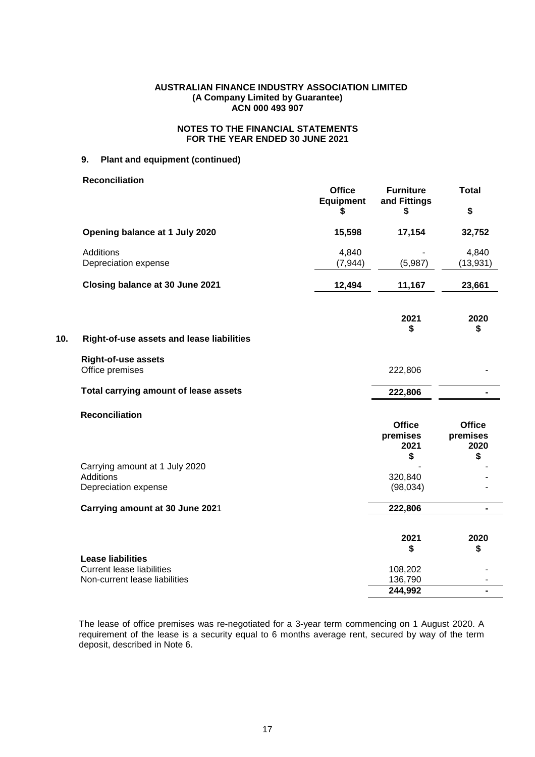### **NOTES TO THE FINANCIAL STATEMENTS FOR THE YEAR ENDED 30 JUNE 2021**

# **9. Plant and equipment (continued)**

|     |                                                              | <b>Office</b><br><b>Equipment</b> | <b>Furniture</b><br>and Fittings<br>\$  | <b>Total</b><br>\$                      |
|-----|--------------------------------------------------------------|-----------------------------------|-----------------------------------------|-----------------------------------------|
|     | Opening balance at 1 July 2020                               | 15,598                            | 17,154                                  | 32,752                                  |
|     | <b>Additions</b>                                             | 4,840                             |                                         | 4,840                                   |
|     | Depreciation expense                                         | (7, 944)                          | (5,987)                                 | (13, 931)                               |
|     | Closing balance at 30 June 2021                              | 12,494                            | 11,167                                  | 23,661                                  |
|     |                                                              |                                   | 2021                                    | 2020                                    |
| 10. | Right-of-use assets and lease liabilities                    |                                   | \$                                      | \$                                      |
|     | <b>Right-of-use assets</b><br>Office premises                |                                   | 222,806                                 |                                         |
|     | Total carrying amount of lease assets                        |                                   | 222,806                                 |                                         |
|     | <b>Reconciliation</b>                                        |                                   | <b>Office</b><br>premises<br>2021<br>\$ | <b>Office</b><br>premises<br>2020<br>\$ |
|     | Carrying amount at 1 July 2020<br><b>Additions</b>           |                                   | 320,840                                 |                                         |
|     | Depreciation expense                                         |                                   | (98, 034)                               |                                         |
|     | Carrying amount at 30 June 2021                              |                                   | 222,806                                 |                                         |
|     |                                                              |                                   | 2021<br>\$                              | 2020<br>\$                              |
|     | <b>Lease liabilities</b><br><b>Current lease liabilities</b> |                                   | 108,202                                 |                                         |
|     | Non-current lease liabilities                                |                                   | 136,790                                 |                                         |
|     |                                                              |                                   | 244,992                                 |                                         |

The lease of office premises was re-negotiated for a 3-year term commencing on 1 August 2020. A requirement of the lease is a security equal to 6 months average rent, secured by way of the term deposit, described in Note 6.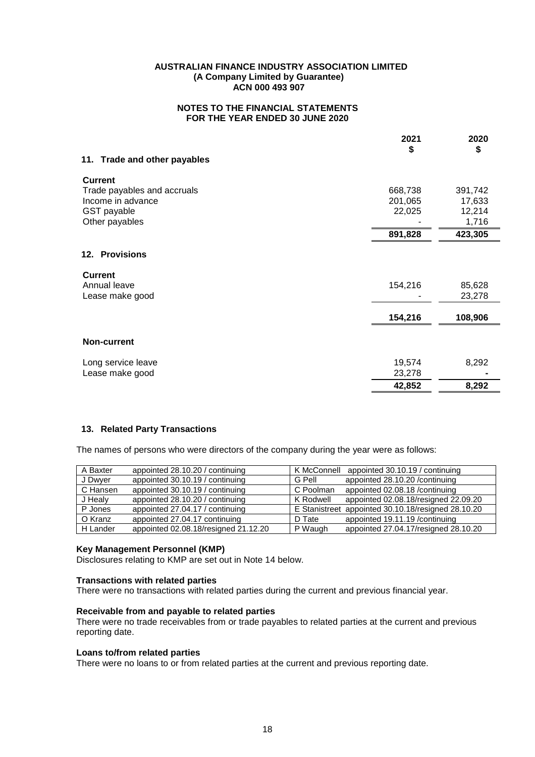### **NOTES TO THE FINANCIAL STATEMENTS FOR THE YEAR ENDED 30 JUNE 2020**

| 11. Trade and other payables | 2021<br>\$ | 2020<br>\$ |
|------------------------------|------------|------------|
| <b>Current</b>               |            |            |
| Trade payables and accruals  | 668,738    | 391,742    |
| Income in advance            | 201,065    | 17,633     |
| GST payable                  | 22,025     | 12,214     |
| Other payables               |            | 1,716      |
|                              | 891,828    | 423,305    |
| 12. Provisions               |            |            |
| <b>Current</b>               |            |            |
| Annual leave                 | 154,216    | 85,628     |
| Lease make good              |            | 23,278     |
|                              | 154,216    | 108,906    |
| <b>Non-current</b>           |            |            |
|                              |            |            |
| Long service leave           | 19,574     | 8,292      |
| Lease make good              | 23,278     |            |
|                              | 42,852     | 8,292      |

# **13. Related Party Transactions**

The names of persons who were directors of the company during the year were as follows:

| A Baxter | appointed 28.10.20 / continuing      | K McConnell | appointed 30.10.19 / continuing                    |
|----------|--------------------------------------|-------------|----------------------------------------------------|
| J Dwyer  | appointed 30.10.19 / continuing      | G Pell      | appointed 28.10.20 / continuing                    |
| C Hansen | appointed 30.10.19 / continuing      | C Poolman   | appointed 02.08.18 / continuing                    |
| J Healy  | appointed 28.10.20 / continuing      | K Rodwell   | appointed 02.08.18/resigned 22.09.20               |
| P Jones  | appointed 27.04.17 / continuing      |             | E Stanistreet appointed 30.10.18/resigned 28.10.20 |
| O Kranz  | appointed 27.04.17 continuing        | D Tate      | appointed 19.11.19 / continuing                    |
| H Lander | appointed 02.08.18/resigned 21.12.20 | P Waugh     | appointed 27.04.17/resigned 28.10.20               |

### **Key Management Personnel (KMP)**

Disclosures relating to KMP are set out in Note 14 below.

#### **Transactions with related parties**

There were no transactions with related parties during the current and previous financial year.

### **Receivable from and payable to related parties**

There were no trade receivables from or trade payables to related parties at the current and previous reporting date.

#### **Loans to/from related parties**

There were no loans to or from related parties at the current and previous reporting date.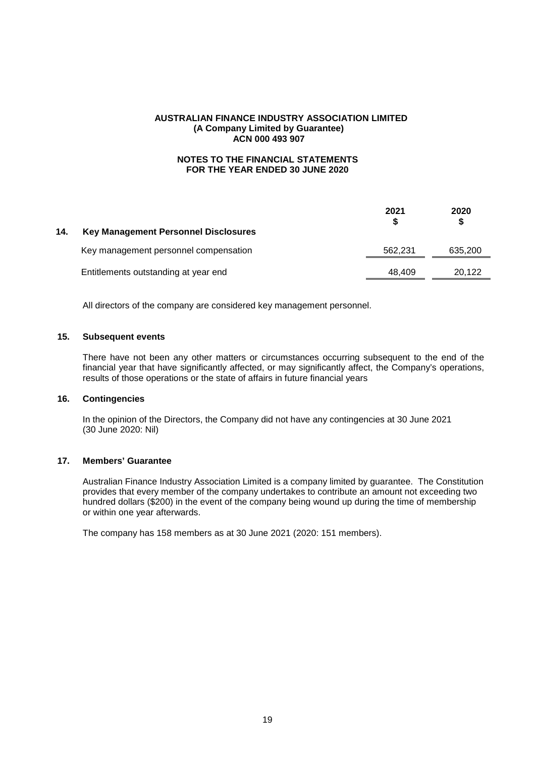### **NOTES TO THE FINANCIAL STATEMENTS FOR THE YEAR ENDED 30 JUNE 2020**

| 14.<br><b>Key Management Personnel Disclosures</b> | 2021    | 2020<br>\$ |
|----------------------------------------------------|---------|------------|
| Key management personnel compensation              | 562.231 | 635,200    |
| Entitlements outstanding at year end               | 48,409  | 20,122     |

All directors of the company are considered key management personnel.

### **15. Subsequent events**

There have not been any other matters or circumstances occurring subsequent to the end of the financial year that have significantly affected, or may significantly affect, the Company's operations, results of those operations or the state of affairs in future financial years

#### **16. Contingencies**

In the opinion of the Directors, the Company did not have any contingencies at 30 June 2021 (30 June 2020: Nil)

### **17. Members' Guarantee**

Australian Finance Industry Association Limited is a company limited by guarantee. The Constitution provides that every member of the company undertakes to contribute an amount not exceeding two hundred dollars (\$200) in the event of the company being wound up during the time of membership or within one year afterwards.

The company has 158 members as at 30 June 2021 (2020: 151 members).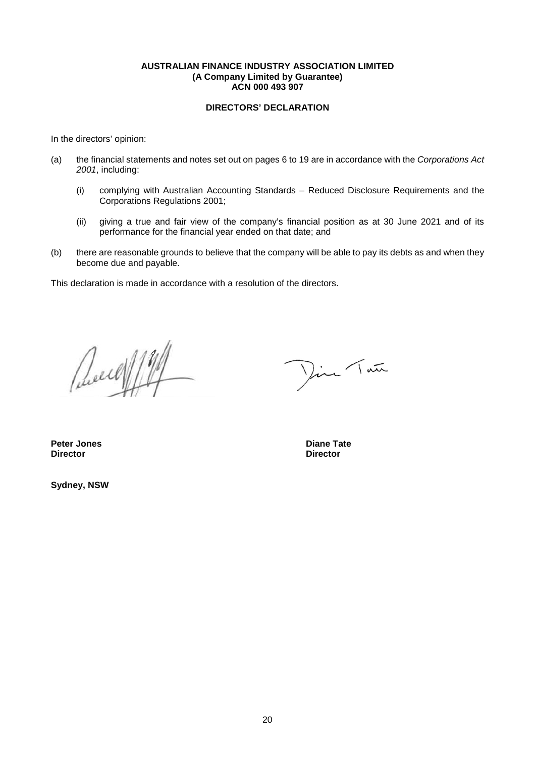# **DIRECTORS' DECLARATION**

In the directors' opinion:

- (a) the financial statements and notes set out on pages 6 to 19 are in accordance with the *Corporations Act 2001*, including:
	- (i) complying with Australian Accounting Standards Reduced Disclosure Requirements and the Corporations Regulations 2001;
	- (ii) giving a true and fair view of the company's financial position as at 30 June 2021 and of its performance for the financial year ended on that date; and
- (b) there are reasonable grounds to believe that the company will be able to pay its debts as and when they become due and payable.

This declaration is made in accordance with a resolution of the directors.

Quel

Din Tan

Peter Jones **Diane Tate Director Director** 

**Sydney, NSW**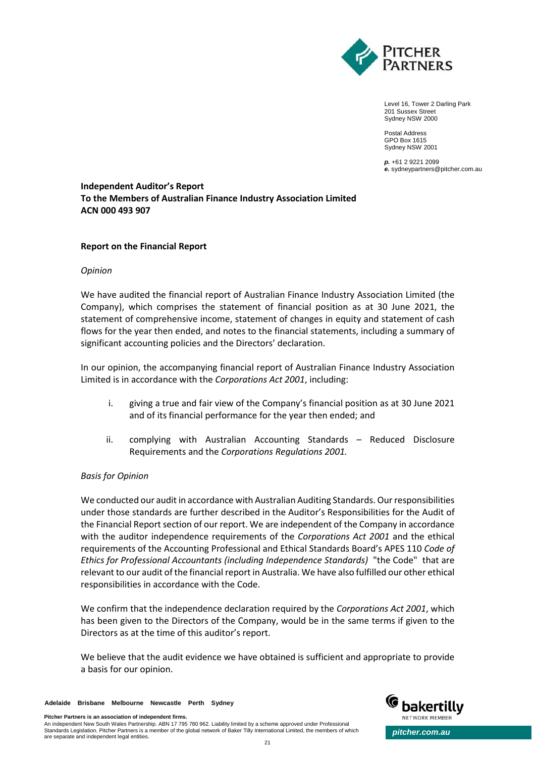

Level 16, Tower 2 Darling Park 201 Sussex Street Sydney NSW 2000

Postal Address GPO Box 1615 Sydney NSW 2001

*p.* +61 2 9221 2099 *e.* sydneypartners@pitcher.com.au

**Independent Auditor's Report To the Members of Australian Finance Industry Association Limited ACN 000 493 907** 

# **Report on the Financial Report**

### *Opinion*

We have audited the financial report of Australian Finance Industry Association Limited (the Company), which comprises the statement of financial position as at 30 June 2021, the statement of comprehensive income, statement of changes in equity and statement of cash flows for the year then ended, and notes to the financial statements, including a summary of significant accounting policies and the Directors' declaration.

In our opinion, the accompanying financial report of Australian Finance Industry Association Limited is in accordance with the *Corporations Act 2001*, including:

- i. giving a true and fair view of the Company's financial position as at 30 June 2021 and of its financial performance for the year then ended; and
- ii. complying with Australian Accounting Standards Reduced Disclosure Requirements and the *Corporations Regulations 2001.*

# *Basis for Opinion*

We conducted our audit in accordance with Australian Auditing Standards. Our responsibilities under those standards are further described in the Auditor's Responsibilities for the Audit of the Financial Report section of our report. We are independent of the Company in accordance with the auditor independence requirements of the *Corporations Act 2001* and the ethical requirements of the Accounting Professional and Ethical Standards Board's APES 110 *Code of Ethics for Professional Accountants (including Independence Standards)* "the Code" that are relevant to our audit of the financial report in Australia. We have also fulfilled our other ethical responsibilities in accordance with the Code.

We confirm that the independence declaration required by the *Corporations Act 2001*, which has been given to the Directors of the Company, would be in the same terms if given to the Directors as at the time of this auditor's report.

We believe that the audit evidence we have obtained is sufficient and appropriate to provide a basis for our opinion.

**Adelaide Brisbane Melbourne Newcastle Perth Sydney** 



**Pitcher Partners is an association of independent firms.**  An independent New South Wales Partnership. ABN 17 795 780 962. Liability limited by a scheme approved under Professional Standards Legislation. Pitcher Partners is a member of the global network of Baker Tilly International Limited, the members of which **property of the fact of the fact of the fact of the fact of the fact of the fact of the**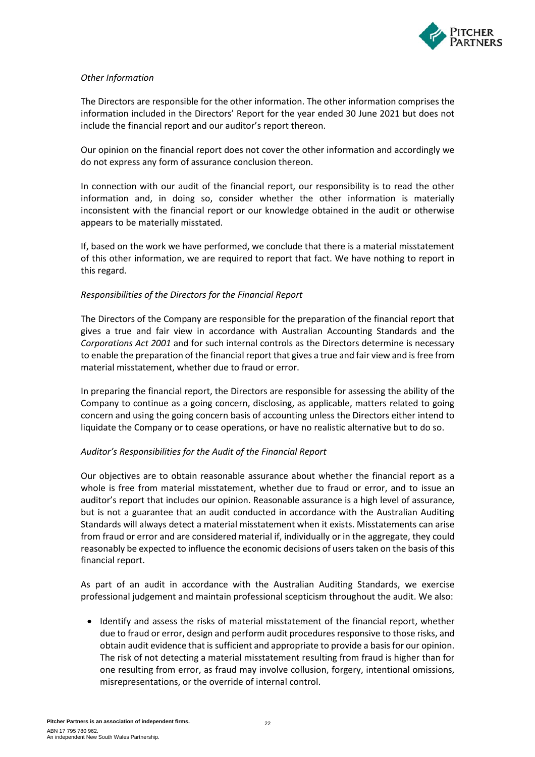

# *Other Information*

The Directors are responsible for the other information. The other information comprises the information included in the Directors' Report for the year ended 30 June 2021 but does not include the financial report and our auditor's report thereon.

Our opinion on the financial report does not cover the other information and accordingly we do not express any form of assurance conclusion thereon.

In connection with our audit of the financial report, our responsibility is to read the other information and, in doing so, consider whether the other information is materially inconsistent with the financial report or our knowledge obtained in the audit or otherwise appears to be materially misstated.

If, based on the work we have performed, we conclude that there is a material misstatement of this other information, we are required to report that fact. We have nothing to report in this regard.

# *Responsibilities of the Directors for the Financial Report*

The Directors of the Company are responsible for the preparation of the financial report that gives a true and fair view in accordance with Australian Accounting Standards and the *Corporations Act 2001* and for such internal controls as the Directors determine is necessary to enable the preparation of the financial report that gives a true and fair view and is free from material misstatement, whether due to fraud or error.

In preparing the financial report, the Directors are responsible for assessing the ability of the Company to continue as a going concern, disclosing, as applicable, matters related to going concern and using the going concern basis of accounting unless the Directors either intend to liquidate the Company or to cease operations, or have no realistic alternative but to do so.

# *Auditor's Responsibilities for the Audit of the Financial Report*

Our objectives are to obtain reasonable assurance about whether the financial report as a whole is free from material misstatement, whether due to fraud or error, and to issue an auditor's report that includes our opinion. Reasonable assurance is a high level of assurance, but is not a guarantee that an audit conducted in accordance with the Australian Auditing Standards will always detect a material misstatement when it exists. Misstatements can arise from fraud or error and are considered material if, individually or in the aggregate, they could reasonably be expected to influence the economic decisions of users taken on the basis of this financial report.

As part of an audit in accordance with the Australian Auditing Standards, we exercise professional judgement and maintain professional scepticism throughout the audit. We also:

• Identify and assess the risks of material misstatement of the financial report, whether due to fraud or error, design and perform audit procedures responsive to those risks, and obtain audit evidence that is sufficient and appropriate to provide a basis for our opinion. The risk of not detecting a material misstatement resulting from fraud is higher than for one resulting from error, as fraud may involve collusion, forgery, intentional omissions, misrepresentations, or the override of internal control.